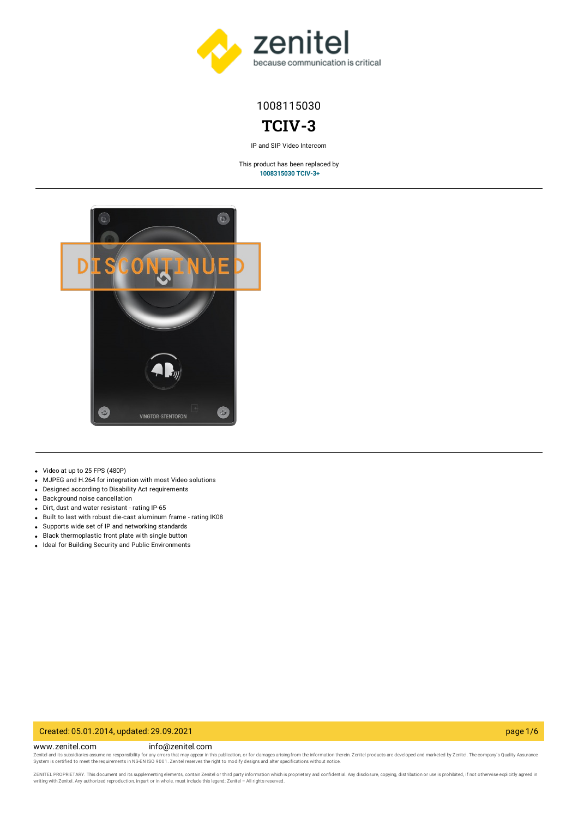

# 1008115030

# **TCIV-3**

IP and SIP Video Intercom

This product has been replaced by **[1008315030](https://www.zenitel.com/product/tciv-3plus) TCIV-3+**



- Video at up to 25 FPS (480P)
- MJPEG and H.264 for integration with most Video solutions
- Designed according to Disability Act requirements
- Background noise cancellation
- Dirt, dust and water resistant rating IP-65
- Built to last with robust die-cast aluminum frame rating IK08
- Supports wide set of IP and networking standards
- Black thermoplastic front plate with single button
- Ideal for Building Security and Public Environments

#### Created: 05.01.2014, updated: 29.09.2021 page 1/6

#### www.zenitel.com info@zenitel.com

Zenitel and its subsidiaries assume no responsibility for any errors that may appear in this publication, or for damages arising from the information therein. Zenitel products are developed and marketed by Zenitel. The com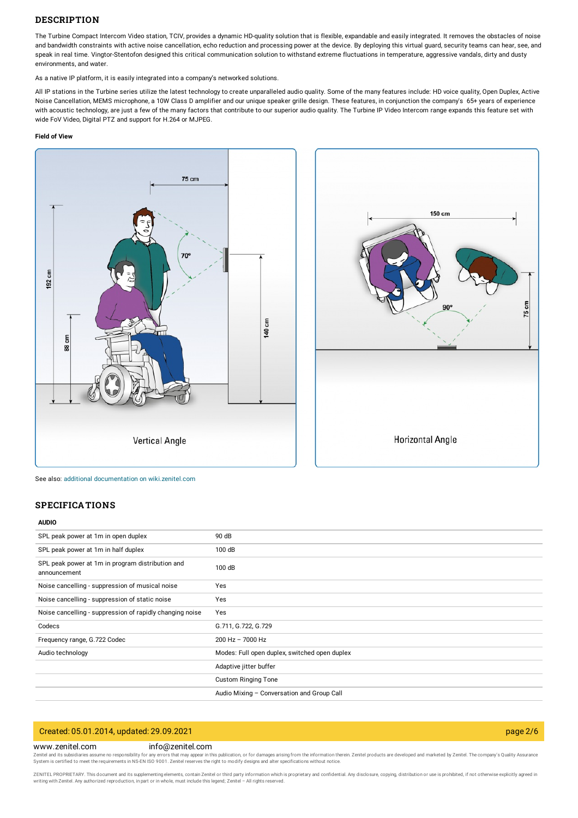#### **DESCRIPTION**

The Turbine Compact Intercom Video station, TCIV, provides a dynamic HD-quality solution that is flexible, expandable and easily integrated. It removes the obstacles of noise and bandwidth constraints with active noise cancellation, echo reduction and processing power at the device. By deploying this virtual guard, security teams can hear, see, and speak in real time. Vingtor-Stentofon designed this critical communication solution to withstand extreme fluctuations in temperature, aggressive vandals, dirty and dusty environments, and water.

As a native IP platform, it is easily integrated into a company's networked solutions.

All IP stations in the Turbine series utilize the latest technology to create unparalleled audio quality. Some of the many features include: HD voice quality, Open Duplex, Active Noise Cancellation, MEMS microphone, a 10W Class D amplifier and our unique speaker grille design. These features, in conjunction the company's 65+ years of experience with acoustic technology, are just a few of the many factors that contribute to our superior audio quality. The Turbine IP Video Intercom range expands this feature set with wide FoV Video, Digital PTZ and support for H.264 or MJPEG.

#### **Field of View**





See also: additional documentation on wiki zenitel com

## **SPECIFICATIONS**

#### **AUDIO**

| SPL peak power at 1m in open duplex                              | 90 dB                                         |
|------------------------------------------------------------------|-----------------------------------------------|
| SPL peak power at 1m in half duplex                              | 100 dB                                        |
| SPL peak power at 1m in program distribution and<br>announcement | 100 dB                                        |
| Noise cancelling - suppression of musical noise                  | Yes                                           |
| Noise cancelling - suppression of static noise                   | Yes                                           |
| Noise cancelling - suppression of rapidly changing noise         | Yes                                           |
| Codecs                                                           | G.711, G.722, G.729                           |
| Frequency range, G.722 Codec                                     | $200$ Hz $- 7000$ Hz                          |
| Audio technology                                                 | Modes: Full open duplex, switched open duplex |
|                                                                  | Adaptive jitter buffer                        |
|                                                                  | <b>Custom Ringing Tone</b>                    |
|                                                                  | Audio Mixing - Conversation and Group Call    |

## Created: 05.01.2014, updated: 29.09.2021 page 2/6

### www.zenitel.com info@zenitel.com

Zenitel and its subsidiaries assume no responsibility for any errors that may appear in this publication, or for damages arising from the information therein. Zenitel products are developed and marketed by Zenitel. The com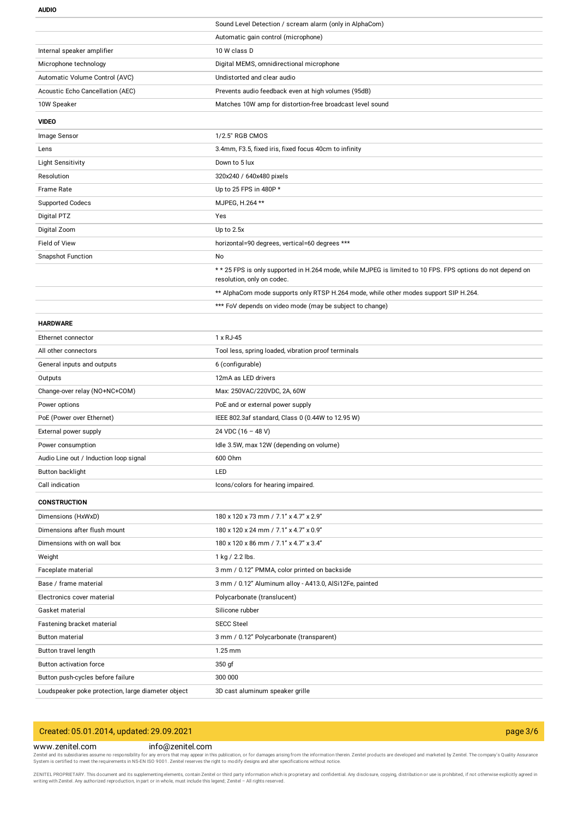**AUDIO**

|                                                    | Sound Level Detection / scream alarm (only in AlphaCom)                                                                                  |
|----------------------------------------------------|------------------------------------------------------------------------------------------------------------------------------------------|
|                                                    | Automatic gain control (microphone)                                                                                                      |
| Internal speaker amplifier                         | 10 W class D                                                                                                                             |
| Microphone technology                              | Digital MEMS, omnidirectional microphone                                                                                                 |
| Automatic Volume Control (AVC)                     | Undistorted and clear audio                                                                                                              |
| Acoustic Echo Cancellation (AEC)                   | Prevents audio feedback even at high volumes (95dB)                                                                                      |
| 10W Speaker                                        | Matches 10W amp for distortion-free broadcast level sound                                                                                |
| <b>VIDEO</b>                                       |                                                                                                                                          |
| Image Sensor                                       | 1/2.5" RGB CMOS                                                                                                                          |
| Lens                                               | 3.4mm, F3.5, fixed iris, fixed focus 40cm to infinity                                                                                    |
| <b>Light Sensitivity</b>                           | Down to 5 lux                                                                                                                            |
| Resolution                                         | 320x240 / 640x480 pixels                                                                                                                 |
| Frame Rate                                         | Up to 25 FPS in 480P *                                                                                                                   |
| <b>Supported Codecs</b>                            | MJPEG, H.264 **                                                                                                                          |
| Digital PTZ                                        | Yes                                                                                                                                      |
| Digital Zoom                                       | Up to 2.5x                                                                                                                               |
| Field of View                                      | horizontal=90 degrees, vertical=60 degrees ***                                                                                           |
| <b>Snapshot Function</b>                           | No                                                                                                                                       |
|                                                    | * * 25 FPS is only supported in H.264 mode, while MJPEG is limited to 10 FPS. FPS options do not depend on<br>resolution, only on codec. |
|                                                    | ** AlphaCom mode supports only RTSP H.264 mode, while other modes support SIP H.264.                                                     |
|                                                    | *** FoV depends on video mode (may be subject to change)                                                                                 |
| <b>HARDWARE</b>                                    |                                                                                                                                          |
| Ethernet connector                                 | 1 x RJ-45                                                                                                                                |
| All other connectors                               | Tool less, spring loaded, vibration proof terminals                                                                                      |
| General inputs and outputs                         | 6 (configurable)                                                                                                                         |
| Outputs                                            | 12mA as LED drivers                                                                                                                      |
| Change-over relay (NO+NC+COM)                      | Max: 250VAC/220VDC, 2A, 60W                                                                                                              |
| Power options                                      | PoE and or external power supply                                                                                                         |
| PoE (Power over Ethernet)                          | IEEE 802.3af standard, Class 0 (0.44W to 12.95 W)                                                                                        |
| External power supply                              | 24 VDC (16 - 48 V)                                                                                                                       |
| Power consumption                                  | Idle 3.5W, max 12W (depending on volume)                                                                                                 |
| Audio Line out / Induction loop signal             | 600 Ohm                                                                                                                                  |
| Button backlight                                   | LED                                                                                                                                      |
| Call indication                                    | Icons/colors for hearing impaired.                                                                                                       |
| <b>CONSTRUCTION</b>                                |                                                                                                                                          |
| Dimensions (HxWxD)                                 | 180 x 120 x 73 mm / 7.1" x 4.7" x 2.9"                                                                                                   |
| Dimensions after flush mount                       | 180 x 120 x 24 mm / 7.1" x 4.7" x 0.9"                                                                                                   |
| Dimensions with on wall box                        | 180 x 120 x 86 mm / 7.1" x 4.7" x 3.4"                                                                                                   |
| Weight                                             | 1 kg / 2.2 lbs.                                                                                                                          |
| Faceplate material                                 | 3 mm / 0.12" PMMA, color printed on backside                                                                                             |
| Base / frame material                              | 3 mm / 0.12" Aluminum alloy - A413.0, AlSi12Fe, painted                                                                                  |
| Electronics cover material                         | Polycarbonate (translucent)                                                                                                              |
| Gasket material                                    | Silicone rubber                                                                                                                          |
| Fastening bracket material                         | <b>SECC Steel</b>                                                                                                                        |
| <b>Button material</b>                             | 3 mm / 0.12" Polycarbonate (transparent)                                                                                                 |
| Button travel length                               | 1.25 mm                                                                                                                                  |
| Button activation force                            | 350 gf                                                                                                                                   |
| Button push-cycles before failure                  | 300 000                                                                                                                                  |
| Loudspeaker poke protection, large diameter object | 3D cast aluminum speaker grille                                                                                                          |

# Created: 05.01.2014, updated: 29.09.2021 page 3/6

#### www.zenitel.com info@zenitel.com

Zenitel and its subsidiaries assume no responsibility for any errors that may appear in this publication, or for damages arising from the information therein. Zenitel products are developed and marketed by Zenitel. The com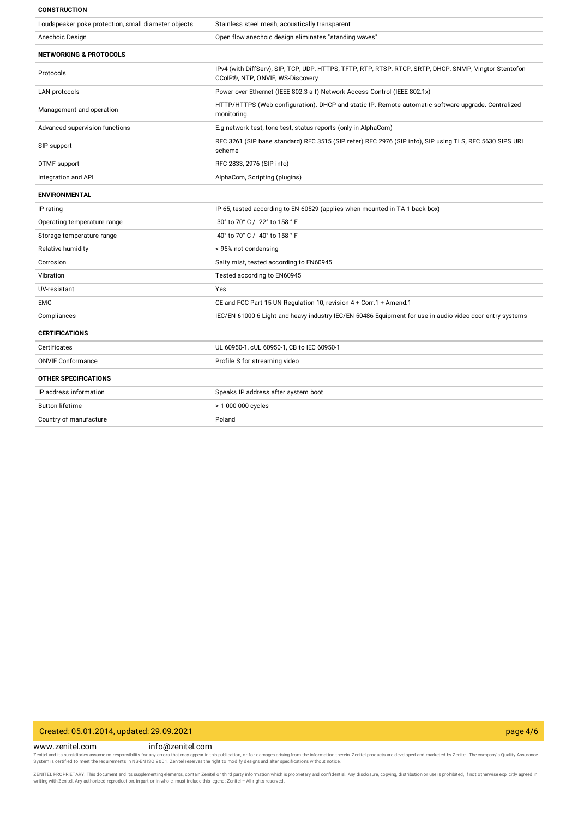#### **CONSTRUCTION**

| Loudspeaker poke protection, small diameter objects | Stainless steel mesh, acoustically transparent                                                                                             |
|-----------------------------------------------------|--------------------------------------------------------------------------------------------------------------------------------------------|
| Anechoic Design                                     | Open flow anechoic design eliminates "standing waves"                                                                                      |
| <b>NETWORKING &amp; PROTOCOLS</b>                   |                                                                                                                                            |
| Protocols                                           | IPv4 (with DiffServ), SIP, TCP, UDP, HTTPS, TFTP, RTP, RTSP, RTCP, SRTP, DHCP, SNMP, Vingtor-Stentofon<br>CCoIP®, NTP, ONVIF, WS-Discovery |
| LAN protocols                                       | Power over Ethernet (IEEE 802.3 a-f) Network Access Control (IEEE 802.1x)                                                                  |
| Management and operation                            | HTTP/HTTPS (Web configuration). DHCP and static IP. Remote automatic software upgrade. Centralized<br>monitoring.                          |
| Advanced supervision functions                      | E.g network test, tone test, status reports (only in AlphaCom)                                                                             |
| SIP support                                         | RFC 3261 (SIP base standard) RFC 3515 (SIP refer) RFC 2976 (SIP info), SIP using TLS, RFC 5630 SIPS URI<br>scheme                          |
| <b>DTMF</b> support                                 | RFC 2833, 2976 (SIP info)                                                                                                                  |
| Integration and API                                 | AlphaCom, Scripting (plugins)                                                                                                              |
| <b>ENVIRONMENTAL</b>                                |                                                                                                                                            |
| IP rating                                           | IP-65, tested according to EN 60529 (applies when mounted in TA-1 back box)                                                                |
| Operating temperature range                         | -30° to 70° C / -22° to 158 ° F                                                                                                            |
| Storage temperature range                           | -40° to 70° C / -40° to 158 ° F                                                                                                            |
| Relative humidity                                   | < 95% not condensing                                                                                                                       |
| Corrosion                                           | Salty mist, tested according to EN60945                                                                                                    |
| Vibration                                           | Tested according to EN60945                                                                                                                |
| UV-resistant                                        | Yes                                                                                                                                        |
| <b>EMC</b>                                          | CE and FCC Part 15 UN Regulation 10, revision 4 + Corr.1 + Amend.1                                                                         |
| Compliances                                         | IEC/EN 61000-6 Light and heavy industry IEC/EN 50486 Equipment for use in audio video door-entry systems                                   |
| <b>CERTIFICATIONS</b>                               |                                                                                                                                            |
| Certificates                                        | UL 60950-1, cUL 60950-1, CB to IEC 60950-1                                                                                                 |
| <b>ONVIF Conformance</b>                            | Profile S for streaming video                                                                                                              |
| <b>OTHER SPECIFICATIONS</b>                         |                                                                                                                                            |
| IP address information                              | Speaks IP address after system boot                                                                                                        |
| <b>Button lifetime</b>                              | > 1 000 000 cycles                                                                                                                         |
| Country of manufacture                              | Poland                                                                                                                                     |
|                                                     |                                                                                                                                            |

## Created: 05.01.2014, updated: 29.09.2021 page 4/6

www.zenitel.com info@zenitel.com Zenitel and its subsidiaries assume no responsibility for any errors that may appear in this publication, or for damages arising from the information therein. Zenitel products are developed and marketed by Zenitel. The com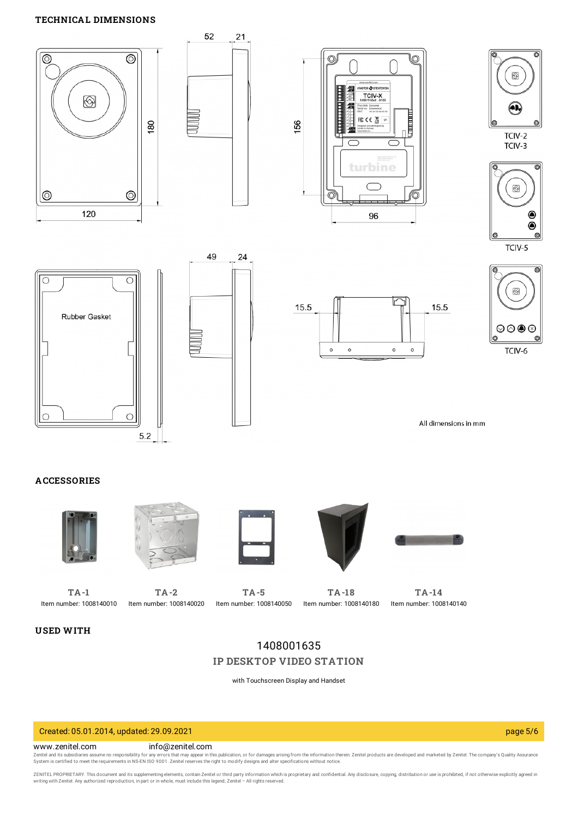

# 1408001635 **IP [DESKTOP](https://www.zenitel.com/product/ip-desktop-video-station-0) VIDEO STATION**

with Touchscreen Display and Handset

Created: 05.01.2014, updated: 29.09.2021 page 5/6

www.zenitel.com info@zenitel.com

Zenitel and its subsidiaries assume no responsibility for any errors that may appear in this publication, or for damages arising from the information therein. Zenitel products are developed and marketed by Zenitel. The com